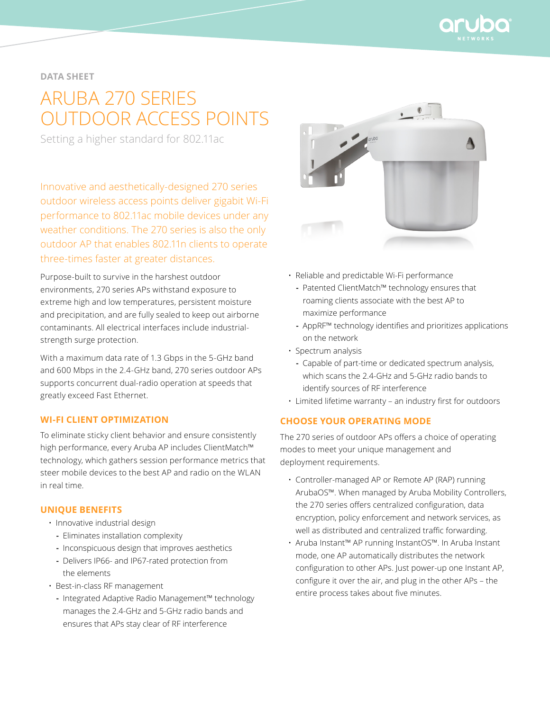

# **data sheet**

# ARUBA 270 SERIES OUTDOOR ACCESS POINTS

Setting a higher standard for 802.11ac

Innovative and aesthetically-designed 270 series outdoor wireless access points deliver gigabit Wi-Fi performance to 802.11ac mobile devices under any weather conditions. The 270 series is also the only outdoor AP that enables 802.11n clients to operate three-times faster at greater distances.

Purpose-built to survive in the harshest outdoor environments, 270 series APs withstand exposure to extreme high and low temperatures, persistent moisture and precipitation, and are fully sealed to keep out airborne contaminants. All electrical interfaces include industrialstrength surge protection.

With a maximum data rate of 1.3 Gbps in the 5-GHz band and 600 Mbps in the 2.4-GHz band, 270 series outdoor APs supports concurrent dual-radio operation at speeds that greatly exceed Fast Ethernet.

## **WI-FI CLIENT OPTIMIZATION**

To eliminate sticky client behavior and ensure consistently high performance, every Aruba AP includes ClientMatch™ technology, which gathers session performance metrics that steer mobile devices to the best AP and radio on the WLAN in real time.

#### **Unique benefits**

- Innovative industrial design
	- **-** Eliminates installation complexity
	- **-** Inconspicuous design that improves aesthetics
	- **-** Delivers IP66- and IP67-rated protection from the elements
- Best-in-class RF management
	- **-** Integrated Adaptive Radio Management™ technology manages the 2.4-GHz and 5-GHz radio bands and ensures that APs stay clear of RF interference



- Reliable and predictable Wi-Fi performance
	- **-** Patented ClientMatch™ technology ensures that roaming clients associate with the best AP to maximize performance
	- **-** AppRF™ technology identifies and prioritizes applications on the network
- Spectrum analysis
	- **-** Capable of part-time or dedicated spectrum analysis, which scans the 2.4-GHz and 5-GHz radio bands to identify sources of RF interference
- Limited lifetime warranty an industry first for outdoors

# **Choose your operating mode**

The 270 series of outdoor APs offers a choice of operating modes to meet your unique management and deployment requirements.

- Controller-managed AP or Remote AP (RAP) running ArubaOS™. When managed by Aruba Mobility Controllers, the 270 series offers centralized configuration, data encryption, policy enforcement and network services, as well as distributed and centralized traffic forwarding.
- Aruba Instant™ AP running InstantOS™. In Aruba Instant mode, one AP automatically distributes the network configuration to other APs. Just power-up one Instant AP, configure it over the air, and plug in the other APs – the entire process takes about five minutes.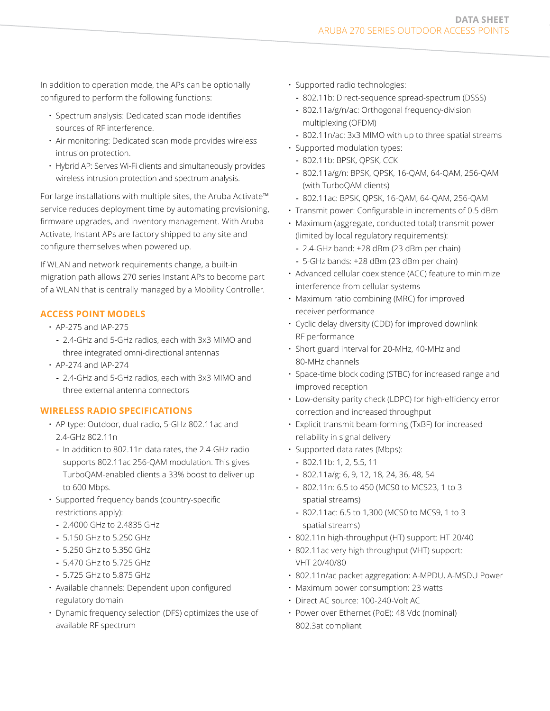In addition to operation mode, the APs can be optionally configured to perform the following functions:

- Spectrum analysis: Dedicated scan mode identifies sources of RF interference.
- Air monitoring: Dedicated scan mode provides wireless intrusion protection.
- Hybrid AP: Serves Wi-Fi clients and simultaneously provides wireless intrusion protection and spectrum analysis.

For large installations with multiple sites, the Aruba Activate™ service reduces deployment time by automating provisioning, firmware upgrades, and inventory management. With Aruba Activate, Instant APs are factory shipped to any site and configure themselves when powered up.

If WLAN and network requirements change, a built-in migration path allows 270 series Instant APs to become part of a WLAN that is centrally managed by a Mobility Controller.

# **ACCESS POINT MODELS**

- AP-275 and IAP-275
- **-** 2.4-GHz and 5-GHz radios, each with 3x3 MIMO and three integrated omni-directional antennas
- AP-274 and IAP-274
	- **-** 2.4-GHz and 5-GHz radios, each with 3x3 MIMO and three external antenna connectors

# **Wireless radio specifications**

- AP type: Outdoor, dual radio, 5-GHz 802.11ac and 2.4-GHz 802.11n
	- **-** In addition to 802.11n data rates, the 2.4-GHz radio supports 802.11ac 256-QAM modulation. This gives TurboQAM-enabled clients a 33% boost to deliver up to 600 Mbps.
- Supported frequency bands (country-specific restrictions apply):
	- **-** 2.4000 GHz to 2.4835 GHz
	- **-** 5.150 GHz to 5.250 GHz
	- **-** 5.250 GHz to 5.350 GHz
	- **-** 5.470 GHz to 5.725 GHz
	- **-** 5.725 GHz to 5.875 GHz
- Available channels: Dependent upon configured regulatory domain
- Dynamic frequency selection (DFS) optimizes the use of available RF spectrum
- Supported radio technologies:
	- **-** 802.11b: Direct-sequence spread-spectrum (DSSS)
	- **-** 802.11a/g/n/ac: Orthogonal frequency-division multiplexing (OFDM)
	- **-** 802.11n/ac: 3x3 MIMO with up to three spatial streams
- Supported modulation types:
	- **-** 802.11b: BPSK, QPSK, CCK
	- **-** 802.11a/g/n: BPSK, QPSK, 16-QAM, 64-QAM, 256-QAM (with TurboQAM clients)
	- **-** 802.11ac: BPSK, QPSK, 16-QAM, 64-QAM, 256-QAM
- Transmit power: Configurable in increments of 0.5 dBm
- Maximum (aggregate, conducted total) transmit power (limited by local regulatory requirements):
	- **-** 2.4-GHz band: +28 dBm (23 dBm per chain)
	- **-** 5-GHz bands: +28 dBm (23 dBm per chain)
- Advanced cellular coexistence (ACC) feature to minimize interference from cellular systems
- Maximum ratio combining (MRC) for improved receiver performance
- Cyclic delay diversity (CDD) for improved downlink RF performance
- Short guard interval for 20-MHz, 40-MHz and 80-MHz channels
- Space-time block coding (STBC) for increased range and improved reception
- Low-density parity check (LDPC) for high-efficiency error correction and increased throughput
- Explicit transmit beam-forming (TxBF) for increased reliability in signal delivery
- Supported data rates (Mbps):
	- **-** 802.11b: 1, 2, 5.5, 11
	- **-** 802.11a/g: 6, 9, 12, 18, 24, 36, 48, 54
	- **-** 802.11n: 6.5 to 450 (MCS0 to MCS23, 1 to 3 spatial streams)
	- **-** 802.11ac: 6.5 to 1,300 (MCS0 to MCS9, 1 to 3 spatial streams)
- 802.11n high-throughput (HT) support: HT 20/40
- 802.11ac very high throughput (VHT) support: VHT 20/40/80
- 802.11n/ac packet aggregation: A-MPDU, A-MSDU Power
- Maximum power consumption: 23 watts
- Direct AC source: 100-240-Volt AC
- Power over Ethernet (PoE): 48 Vdc (nominal) 802.3at compliant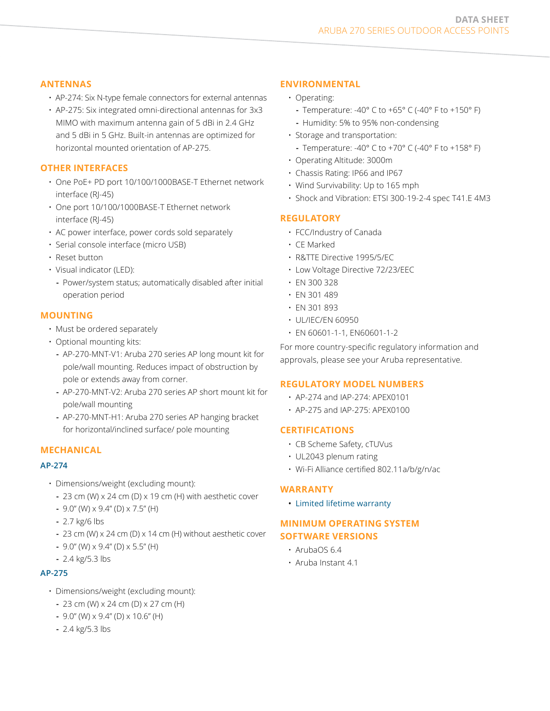## **Antennas**

- AP-274: Six N-type female connectors for external antennas
- AP-275: Six integrated omni-directional antennas for 3x3 MIMO with maximum antenna gain of 5 dBi in 2.4 GHz and 5 dBi in 5 GHz. Built-in antennas are optimized for horizontal mounted orientation of AP-275.

# **Other interfaces**

- One PoE+ PD port 10/100/1000BASE-T Ethernet network interface (RJ-45)
- One port 10/100/1000BASE-T Ethernet network interface (RJ-45)
- AC power interface, power cords sold separately
- Serial console interface (micro USB)
- Reset button
- Visual indicator (LED):
- **-** Power/system status; automatically disabled after initial operation period

# **Mounting**

- Must be ordered separately
- Optional mounting kits:
	- **-** AP-270-MNT-V1: Aruba 270 series AP long mount kit for pole/wall mounting. Reduces impact of obstruction by pole or extends away from corner.
	- **-** AP-270-MNT-V2: Aruba 270 series AP short mount kit for pole/wall mounting
	- **-** AP-270-MNT-H1: Aruba 270 series AP hanging bracket for horizontal/inclined surface/ pole mounting

# **Mechanical**

#### **AP-274**

- Dimensions/weight (excluding mount):
	- **-** 23 cm (W) x 24 cm (D) x 19 cm (H) with aesthetic cover
	- **-** 9.0" (W) x 9.4" (D) x 7.5" (H)
	- **-** 2.7 kg/6 lbs
	- **-** 23 cm (W) x 24 cm (D) x 14 cm (H) without aesthetic cover
	- **-** 9.0" (W) x 9.4" (D) x 5.5" (H)
	- **-** 2.4 kg/5.3 lbs

#### **AP-275**

- Dimensions/weight (excluding mount):
	- **-** 23 cm (W) x 24 cm (D) x 27 cm (H)
	- **-** 9.0" (W) x 9.4" (D) x 10.6" (H)
	- **-** 2.4 kg/5.3 lbs

# **Environmental**

- Operating:
	- **-** Temperature: -40° C to +65° C (-40° F to +150° F)
	- **-** Humidity: 5% to 95% non-condensing
- Storage and transportation:
	- **-** Temperature: -40° C to +70° C (-40° F to +158° F)
- Operating Altitude: 3000m
- Chassis Rating: IP66 and IP67
- Wind Survivability: Up to 165 mph
- Shock and Vibration: ETSI 300-19-2-4 spec T41.E 4M3

# **Regulatory**

- FCC/Industry of Canada
- CE Marked
- R&TTE Directive 1995/5/EC
- Low Voltage Directive 72/23/EEC
- EN 300 328
- EN 301 489
- EN 301 893
- UL/IEC/EN 60950
- EN 60601-1-1, EN60601-1-2

For more country-specific regulatory information and approvals, please see your Aruba representative.

#### **REGULATORY MODEL NUMBERS**

- AP-274 and IAP-274: APEX0101
- AP-275 and IAP-275: APEX0100

# **Certifications**

- CB Scheme Safety, cTUVus
- UL2043 plenum rating
- Wi-Fi Alliance certified 802.11a/b/g/n/ac

## **Warranty**

• [Limited lifetime warranty](http://www.arubanetworks.com/support/lifetime_warranty.php)

# **Minimum operating system software versions**

- ArubaOS 6.4
- Aruba Instant 4.1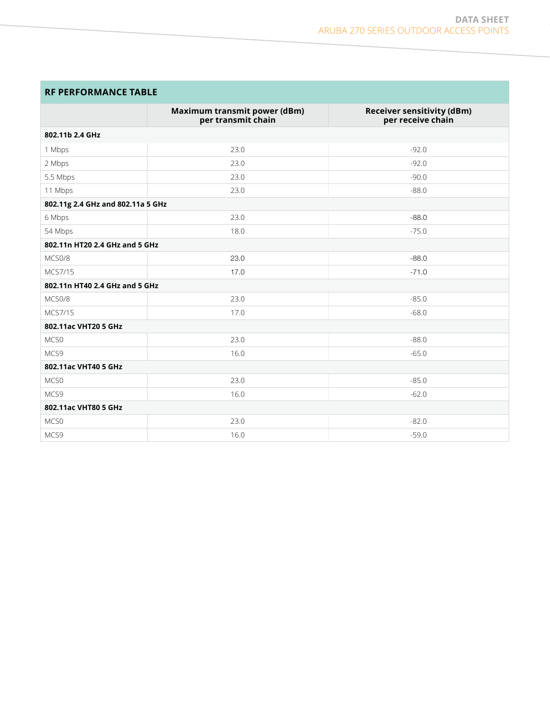# **RF PERFORMANCE TABLE**

|                                   | Maximum transmit power (dBm)<br>per transmit chain | <b>Receiver sensitivity (dBm)</b><br>per receive chain |
|-----------------------------------|----------------------------------------------------|--------------------------------------------------------|
| 802.11b 2.4 GHz                   |                                                    |                                                        |
| 1 Mbps                            | 23.0                                               | $-92.0$                                                |
| 2 Mbps                            | 23.0                                               | $-92.0$                                                |
| 5.5 Mbps                          | 23.0                                               | $-90.0$                                                |
| 11 Mbps                           | 23.0                                               | $-88.0$                                                |
| 802.11g 2.4 GHz and 802.11a 5 GHz |                                                    |                                                        |
| 6 Mbps                            | 23.0                                               | $-88.0$                                                |
| 54 Mbps                           | 18.0                                               | $-75.0$                                                |
| 802.11n HT20 2.4 GHz and 5 GHz    |                                                    |                                                        |
| MCS0/8                            | 23.0                                               | $-88.0$                                                |
| MCS7/15                           | 17.0                                               | $-71.0$                                                |
| 802.11n HT40 2.4 GHz and 5 GHz    |                                                    |                                                        |
| MCS0/8                            | 23.0                                               | $-85.0$                                                |
| MCS7/15                           | 17.0                                               | $-68.0$                                                |
| 802.11ac VHT20 5 GHz              |                                                    |                                                        |
| MCS0                              | 23.0                                               | $-88.0$                                                |
| MCS9                              | 16.0                                               | $-65.0$                                                |
| 802.11ac VHT40 5 GHz              |                                                    |                                                        |
| MCS0                              | 23.0                                               | $-85.0$                                                |
| MCS9                              | 16.0                                               | $-62.0$                                                |
| 802.11ac VHT80 5 GHz              |                                                    |                                                        |
| MCS <sub>0</sub>                  | 23.0                                               | $-82.0$                                                |
| MCS9                              | 16.0                                               | $-59.0$                                                |